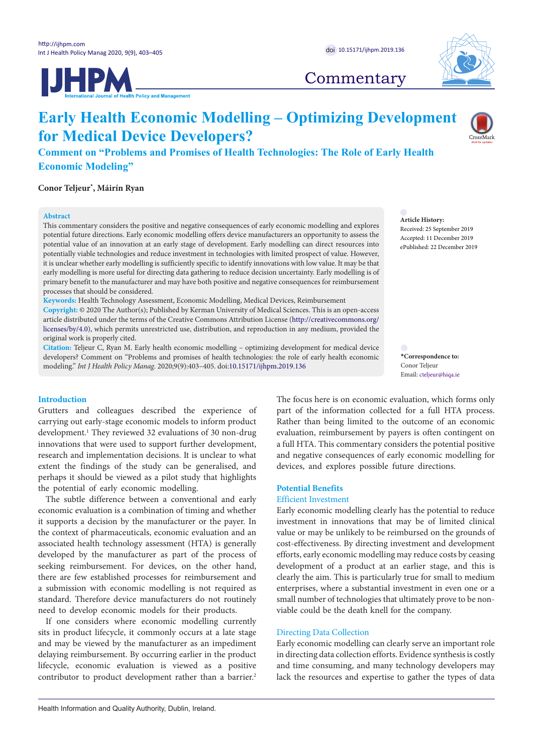**UHPM** 



## **Commentary**

# **Early Health Economic Modelling – Optimizing Development for Medical Device Developers?**

**Comment on "Problems and Promises of Health Technologies: The Role of Early Health Economic Modeling"**

**Conor Teljeur[\\*](#page-0-0) , Máirín Ryan**

#### **Abstract**

This commentary considers the positive and negative consequences of early economic modelling and explores potential future directions. Early economic modelling offers device manufacturers an opportunity to assess the potential value of an innovation at an early stage of development. Early modelling can direct resources into potentially viable technologies and reduce investment in technologies with limited prospect of value. However, it is unclear whether early modelling is sufficiently specific to identify innovations with low value. It may be that early modelling is more useful for directing data gathering to reduce decision uncertainty. Early modelling is of primary benefit to the manufacturer and may have both positive and negative consequences for reimbursement processes that should be considered.

**Keywords:** Health Technology Assessment, Economic Modelling, Medical Devices, Reimbursement **Copyright:** © 2020 The Author(s); Published by Kerman University of Medical Sciences. This is an open-access article distributed under the terms of the Creative Commons Attribution License [\(http://creativecommons.org/](http://creativecommons.org/licenses/by/4.0) [licenses/by/4.0](http://creativecommons.org/licenses/by/4.0)), which permits unrestricted use, distribution, and reproduction in any medium, provided the original work is properly cited.

**Citation:** Teljeur C, Ryan M. Early health economic modelling – optimizing development for medical device developers? Comment on "Problems and promises of health technologies: the role of early health economic modeling." *Int J Health Policy Manag.* 2020;9(9):403–405. doi:[10.15171/ijhpm.2019.136](https://doi.org/10.15171/ijhpm.2019.136)

## **Introduction**

Grutters and colleagues described the experience of carrying out early-stage economic models to inform product development.1 They reviewed 32 evaluations of 30 non-drug innovations that were used to support further development, research and implementation decisions. It is unclear to what extent the findings of the study can be generalised, and perhaps it should be viewed as a pilot study that highlights the potential of early economic modelling.

The subtle difference between a conventional and early economic evaluation is a combination of timing and whether it supports a decision by the manufacturer or the payer. In the context of pharmaceuticals, economic evaluation and an associated health technology assessment (HTA) is generally developed by the manufacturer as part of the process of seeking reimbursement. For devices, on the other hand, there are few established processes for reimbursement and a submission with economic modelling is not required as standard. Therefore device manufacturers do not routinely need to develop economic models for their products.

If one considers where economic modelling currently sits in product lifecycle, it commonly occurs at a late stage and may be viewed by the manufacturer as an impediment delaying reimbursement. By occurring earlier in the product lifecycle, economic evaluation is viewed as a positive contributor to product development rather than a barrier.<sup>2</sup> The focus here is on economic evaluation, which forms only part of the information collected for a full HTA process. Rather than being limited to the outcome of an economic evaluation, reimbursement by payers is often contingent on a full HTA. This commentary considers the potential positive and negative consequences of early economic modelling for devices, and explores possible future directions.

## **Potential Benefits**

#### Efficient Investment

Early economic modelling clearly has the potential to reduce investment in innovations that may be of limited clinical value or may be unlikely to be reimbursed on the grounds of cost-effectiveness. By directing investment and development efforts, early economic modelling may reduce costs by ceasing development of a product at an earlier stage, and this is clearly the aim. This is particularly true for small to medium enterprises, where a substantial investment in even one or a small number of technologies that ultimately prove to be nonviable could be the death knell for the company.

## Directing Data Collection

Early economic modelling can clearly serve an important role in directing data collection efforts. Evidence synthesis is costly and time consuming, and many technology developers may lack the resources and expertise to gather the types of data

**Article History:** Received: 25 September 2019 Accepted: 11 December 2019 ePublished: 22 December 2019

<span id="page-0-0"></span>**\*Correspondence to:** Conor Teljeur Email: cteljeur@hiqa.ie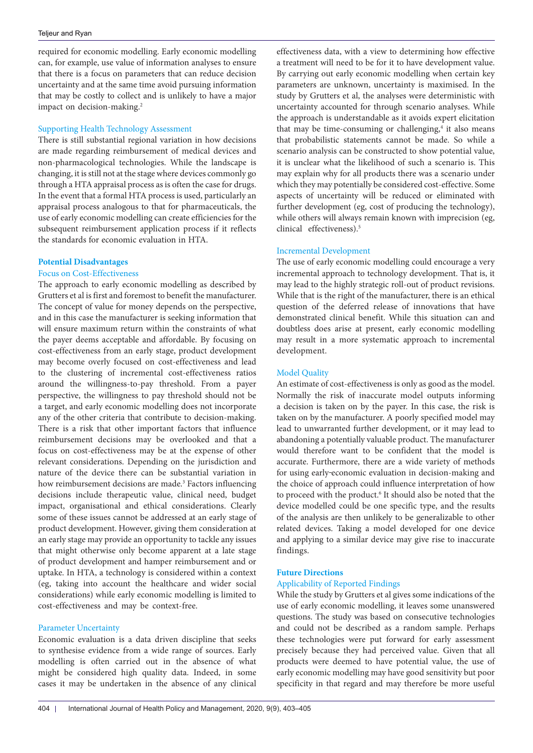required for economic modelling. Early economic modelling can, for example, use value of information analyses to ensure that there is a focus on parameters that can reduce decision uncertainty and at the same time avoid pursuing information that may be costly to collect and is unlikely to have a major impact on decision-making.<sup>2</sup>

#### Supporting Health Technology Assessment

There is still substantial regional variation in how decisions are made regarding reimbursement of medical devices and non-pharmacological technologies. While the landscape is changing, it is still not at the stage where devices commonly go through a HTA appraisal process as is often the case for drugs. In the event that a formal HTA process is used, particularly an appraisal process analogous to that for pharmaceuticals, the use of early economic modelling can create efficiencies for the subsequent reimbursement application process if it reflects the standards for economic evaluation in HTA.

#### **Potential Disadvantages**

#### Focus on Cost-Effectiveness

The approach to early economic modelling as described by Grutters et al is first and foremost to benefit the manufacturer. The concept of value for money depends on the perspective, and in this case the manufacturer is seeking information that will ensure maximum return within the constraints of what the payer deems acceptable and affordable. By focusing on cost-effectiveness from an early stage, product development may become overly focused on cost-effectiveness and lead to the clustering of incremental cost-effectiveness ratios around the willingness-to-pay threshold. From a payer perspective, the willingness to pay threshold should not be a target, and early economic modelling does not incorporate any of the other criteria that contribute to decision-making. There is a risk that other important factors that influence reimbursement decisions may be overlooked and that a focus on cost-effectiveness may be at the expense of other relevant considerations. Depending on the jurisdiction and nature of the device there can be substantial variation in how reimbursement decisions are made.<sup>3</sup> Factors influencing decisions include therapeutic value, clinical need, budget impact, organisational and ethical considerations. Clearly some of these issues cannot be addressed at an early stage of product development. However, giving them consideration at an early stage may provide an opportunity to tackle any issues that might otherwise only become apparent at a late stage of product development and hamper reimbursement and or uptake. In HTA, a technology is considered within a context (eg, taking into account the healthcare and wider social considerations) while early economic modelling is limited to cost-effectiveness and may be context-free.

#### Parameter Uncertainty

Economic evaluation is a data driven discipline that seeks to synthesise evidence from a wide range of sources. Early modelling is often carried out in the absence of what might be considered high quality data. Indeed, in some cases it may be undertaken in the absence of any clinical

effectiveness data, with a view to determining how effective a treatment will need to be for it to have development value. By carrying out early economic modelling when certain key parameters are unknown, uncertainty is maximised. In the study by Grutters et al, the analyses were deterministic with uncertainty accounted for through scenario analyses. While the approach is understandable as it avoids expert elicitation that may be time-consuming or challenging, $4$  it also means that probabilistic statements cannot be made. So while a scenario analysis can be constructed to show potential value, it is unclear what the likelihood of such a scenario is. This may explain why for all products there was a scenario under which they may potentially be considered cost-effective. Some aspects of uncertainty will be reduced or eliminated with further development (eg, cost of producing the technology), while others will always remain known with imprecision (eg, clinical effectiveness).<sup>5</sup>

#### Incremental Development

The use of early economic modelling could encourage a very incremental approach to technology development. That is, it may lead to the highly strategic roll-out of product revisions. While that is the right of the manufacturer, there is an ethical question of the deferred release of innovations that have demonstrated clinical benefit. While this situation can and doubtless does arise at present, early economic modelling may result in a more systematic approach to incremental development.

#### Model Quality

An estimate of cost-effectiveness is only as good as the model. Normally the risk of inaccurate model outputs informing a decision is taken on by the payer. In this case, the risk is taken on by the manufacturer. A poorly specified model may lead to unwarranted further development, or it may lead to abandoning a potentially valuable product. The manufacturer would therefore want to be confident that the model is accurate. Furthermore, there are a wide variety of methods for using early economic evaluation in decision-making and the choice of approach could influence interpretation of how to proceed with the product.<sup>6</sup> It should also be noted that the device modelled could be one specific type, and the results of the analysis are then unlikely to be generalizable to other related devices. Taking a model developed for one device and applying to a similar device may give rise to inaccurate findings.

## **Future Directions**

#### Applicability of Reported Findings

While the study by Grutters et al gives some indications of the use of early economic modelling, it leaves some unanswered questions. The study was based on consecutive technologies and could not be described as a random sample. Perhaps these technologies were put forward for early assessment precisely because they had perceived value. Given that all products were deemed to have potential value, the use of early economic modelling may have good sensitivity but poor specificity in that regard and may therefore be more useful